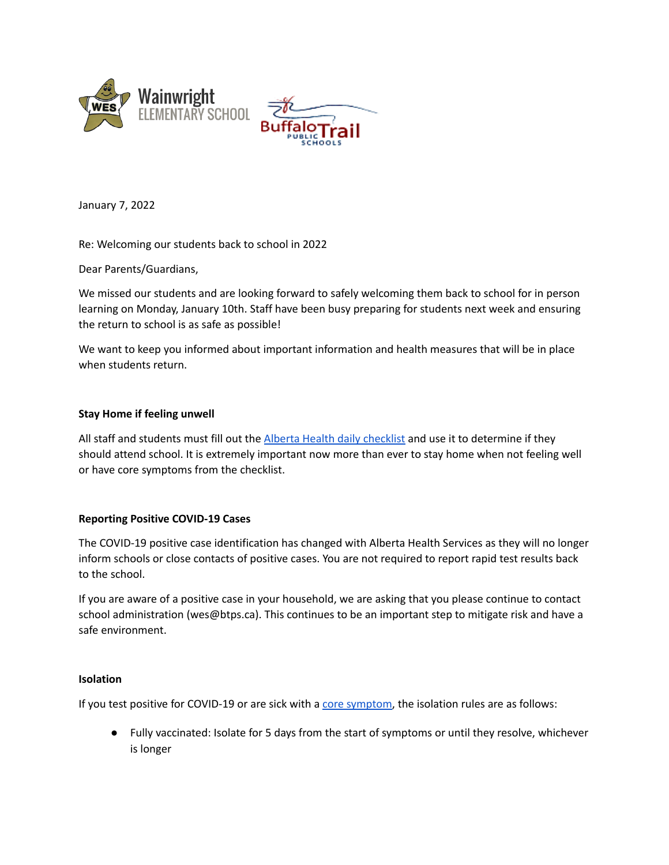



January 7, 2022

Re: Welcoming our students back to school in 2022

Dear Parents/Guardians,

We missed our students and are looking forward to safely welcoming them back to school for in person learning on Monday, January 10th. Staff have been busy preparing for students next week and ensuring the return to school is as safe as possible!

We want to keep you informed about important information and health measures that will be in place when students return.

## **Stay Home if feeling unwell**

All staff and students must fill out the Alberta Health daily [checklist](https://open.alberta.ca/dataset/56c020ed-1782-4c6c-bfdd-5af36754471f/resource/58957831-a4ab-45ff-9a8e-3c6af7c1622e/download/covid-19-information-alberta-health-daily-checklist-2021-09.pdf) and use it to determine if they should attend school. It is extremely important now more than ever to stay home when not feeling well or have core symptoms from the checklist.

# **Reporting Positive COVID-19 Cases**

The COVID-19 positive case identification has changed with Alberta Health Services as they will no longer inform schools or close contacts of positive cases. You are not required to report rapid test results back to the school.

If you are aware of a positive case in your household, we are asking that you please continue to contact school administration (wes@btps.ca). This continues to be an important step to mitigate risk and have a safe environment.

## **Isolation**

If you test positive for COVID-19 or are sick with a core [symptom,](https://www.alberta.ca/covid-19-testing-in-alberta.aspx) the isolation rules are as follows:

● Fully vaccinated: Isolate for 5 days from the start of symptoms or until they resolve, whichever is longer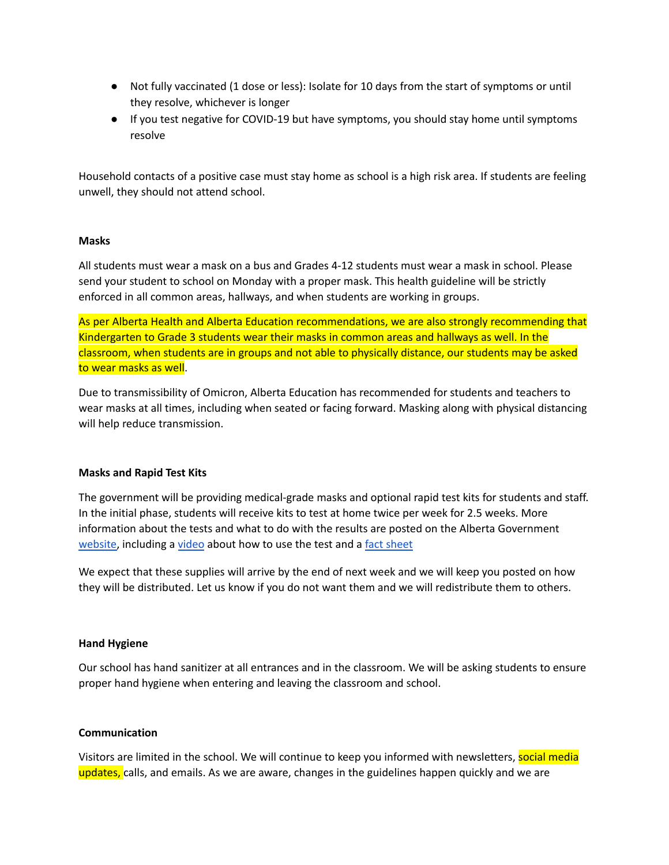- Not fully vaccinated (1 dose or less): Isolate for 10 days from the start of symptoms or until they resolve, whichever is longer
- If you test negative for COVID-19 but have symptoms, you should stay home until symptoms resolve

Household contacts of a positive case must stay home as school is a high risk area. If students are feeling unwell, they should not attend school.

## **Masks**

All students must wear a mask on a bus and Grades 4-12 students must wear a mask in school. Please send your student to school on Monday with a proper mask. This health guideline will be strictly enforced in all common areas, hallways, and when students are working in groups.

As per Alberta Health and Alberta Education recommendations, we are also strongly recommending that Kindergarten to Grade 3 students wear their masks in common areas and hallways as well. In the classroom, when students are in groups and not able to physically distance, our students may be asked to wear masks as well.

Due to transmissibility of Omicron, Alberta Education has recommended for students and teachers to wear masks at all times, including when seated or facing forward. Masking along with physical distancing will help reduce transmission.

#### **Masks and Rapid Test Kits**

The government will be providing medical-grade masks and optional rapid test kits for students and staff. In the initial phase, students will receive kits to test at home twice per week for 2.5 weeks. More information about the tests and what to do with the results are posted on the Alberta Government [website,](https://www.alberta.ca/rapid-testing-at-home.aspx) including a [video](https://www.youtube.com/watch?v=h4q7EuAbgE8) about how to use the test and a fact [sheet](https://open.alberta.ca/publications/k-6-at-home-rapid-testing-program)

We expect that these supplies will arrive by the end of next week and we will keep you posted on how they will be distributed. Let us know if you do not want them and we will redistribute them to others.

# **Hand Hygiene**

Our school has hand sanitizer at all entrances and in the classroom. We will be asking students to ensure proper hand hygiene when entering and leaving the classroom and school.

#### **Communication**

Visitors are limited in the school. We will continue to keep you informed with newsletters, social media updates, calls, and emails. As we are aware, changes in the guidelines happen quickly and we are